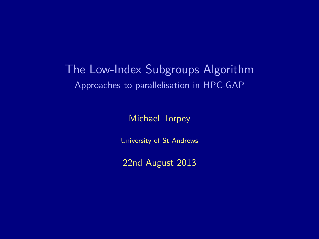## The Low-Index Subgroups Algorithm Approaches to parallelisation in HPC-GAP

Michael Torpey

University of St Andrews

22nd August 2013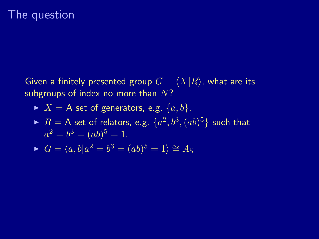#### The question

Given a finitely presented group  $G = \langle X|R\rangle$ , what are its subgroups of index no more than  $N$ ?

- $\blacktriangleright$   $X = A$  set of generators, e.g.  $\{a, b\}.$
- $\blacktriangleright$   $R =$  A set of relators, e.g.  $\{a^2, b^3, (ab)^5\}$  such that  $a^2 = b^3 = (ab)^5 = 1.$

$$
\blacktriangleright G = \langle a, b | a^2 = b^3 = (ab)^5 = 1 \rangle \cong A_5
$$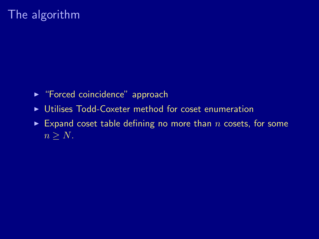# The algorithm

- ► "Forced coincidence" approach
- ▶ Utilises Todd-Coxeter method for coset enumeration
- Expand coset table defining no more than n cosets, for some  $n > N$ .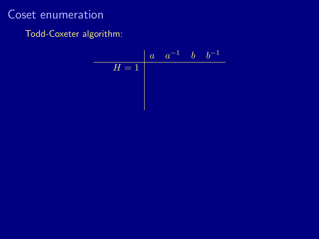$$
H = 1
$$
  $a$   $a^{-1}$   $b$   $b^{-1}$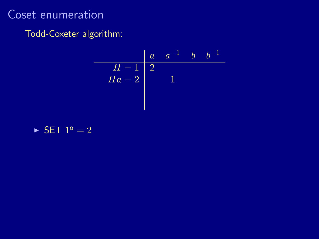#### Todd-Coxeter algorithm:

$$
\begin{array}{c|cc}\n & a & a^{-1} & b & b^{-1} \\
\hline\nH = 1 & 2 & & \\
Ha = 2 & & 1\n\end{array}
$$

#### $\blacktriangleright$  SET  $1^a = 2$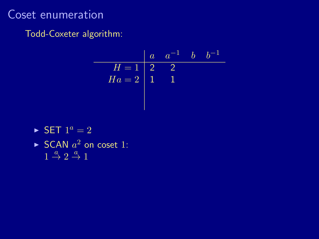|        | $\overline{a}$  | $a^-$ |  |
|--------|-----------------|-------|--|
| $H=1$  | $\vert 2 \vert$ |       |  |
| $Ha=2$ | 1               |       |  |
|        |                 |       |  |
|        |                 |       |  |

- $\triangleright$  SET  $1^a = 2$
- SCAN  $a^2$  on coset 1:  $1 \stackrel{a}{\rightarrow} 2 \stackrel{a}{\rightarrow} 1$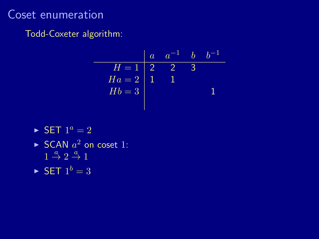|        | $\alpha$       |               |  |
|--------|----------------|---------------|--|
| $H=1$  | $\overline{2}$ | $\mathcal{D}$ |  |
| $Ha=2$ |                |               |  |
| $Hb=3$ |                |               |  |
|        |                |               |  |

- $\blacktriangleright$  SET  $1^a = 2$
- SCAN  $a^2$  on coset 1:  $1 \stackrel{a}{\rightarrow} 2 \stackrel{a}{\rightarrow} 1$
- $\blacktriangleright$  SET  $1^b = 3$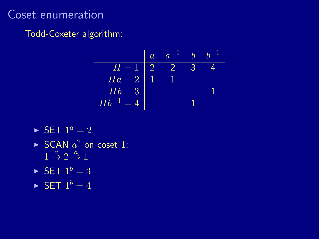|               | $\overline{a}$ |               |  |
|---------------|----------------|---------------|--|
| $H=1$         | $\mid 2$       | $\mathcal{D}$ |  |
| $Ha=2$        |                |               |  |
| $Hb=3$        |                |               |  |
| $Hb^{-1} = 4$ |                |               |  |

- $\blacktriangleright$  SET  $1^a = 2$
- ► SCAN  $a^2$  on coset 1:  $1 \stackrel{a}{\rightarrow} 2 \stackrel{a}{\rightarrow} 1$
- $\blacktriangleright$  SET  $1^b = 3$
- $\blacktriangleright$  SET  $1^b = 4$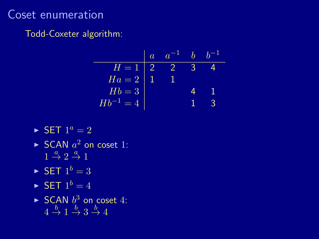|               | $\overline{a}$ | a |   |   |
|---------------|----------------|---|---|---|
| $H=1$         | l 2            | 2 | 2 |   |
| $Ha=2$        |                |   |   |   |
| $Hb=3$        |                |   |   |   |
| $Hb^{-1} = 4$ |                |   |   | 2 |

- $\blacktriangleright$  SET  $1^a = 2$
- $\blacktriangleright$  SCAN  $a^2$  on coset 1:  $1 \stackrel{a}{\rightarrow} 2 \stackrel{a}{\rightarrow} 1$
- $\blacktriangleright$  SET  $1^b = 3$
- $\blacktriangleright$  SET  $1^b = 4$
- SCAN  $b^3$  on coset 4:  $4 \stackrel{b}{\rightarrow} 1 \stackrel{b}{\rightarrow} 3 \stackrel{b}{\rightarrow} 4$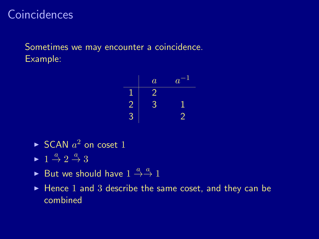# **Coincidences**

Sometimes we may encounter a coincidence. Example:

$$
\begin{array}{c|cc}\n & a & a^{-1} \\
\hline\n1 & 2 & \\
2 & 3 & 1 \\
3 & & 2\n\end{array}
$$

- $\blacktriangleright$  SCAN  $a^2$  on coset 1
- $\blacktriangleright$  1  $\stackrel{a}{\rightarrow}$  2  $\stackrel{a}{\rightarrow}$  3
- But we should have  $1 \stackrel{a}{\rightarrow} \stackrel{a}{\rightarrow} 1$
- $\blacktriangleright$  Hence 1 and 3 describe the same coset, and they can be combined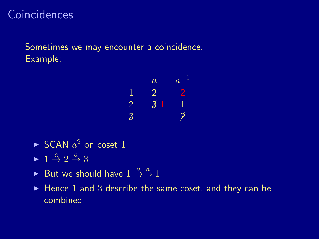# **Coincidences**

Sometimes we may encounter a coincidence. Example:

$$
\begin{array}{c|cc}\n & a & a^{-1} \\
\hline\n1 & 2 & 2 \\
2 & 3 & 1 \\
3 & 2 & 2\n\end{array}
$$

- $\blacktriangleright$  SCAN  $a^2$  on coset 1
- $\blacktriangleright$  1  $\stackrel{a}{\rightarrow}$  2  $\stackrel{a}{\rightarrow}$  3
- But we should have  $1 \stackrel{a}{\rightarrow} \stackrel{a}{\rightarrow} 1$
- $\blacktriangleright$  Hence 1 and 3 describe the same coset, and they can be combined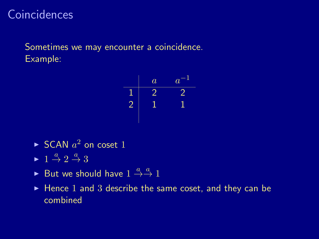# **Coincidences**

Sometimes we may encounter a coincidence. Example:

$$
\begin{array}{c|cc}\n & a & a^{-1} \\
\hline\n1 & 2 & 2 \\
2 & 1 & 1\n\end{array}
$$

- $\blacktriangleright$  SCAN  $a^2$  on coset 1
- $\blacktriangleright$  1  $\stackrel{a}{\rightarrow}$  2  $\stackrel{a}{\rightarrow}$  3
- But we should have  $1 \stackrel{a}{\rightarrow} \stackrel{a}{\rightarrow} 1$
- $\blacktriangleright$  Hence 1 and 3 describe the same coset, and they can be combined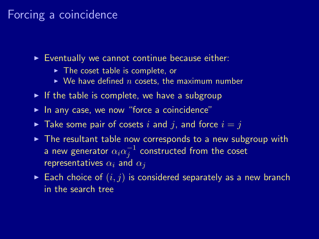#### Forcing a coincidence

 $\blacktriangleright$  Eventually we cannot continue because either:

- $\blacktriangleright$  The coset table is complete, or
- $\triangleright$  We have defined n cosets, the maximum number
- $\triangleright$  If the table is complete, we have a subgroup
- $\blacktriangleright$  In any case, we now "force a coincidence"
- $\blacktriangleright$  Take some pair of cosets i and j, and force  $i = j$
- $\triangleright$  The resultant table now corresponds to a new subgroup with a new generator  $\alpha_i\alpha_j^{-1}$  constructed from the coset representatives  $\alpha_i$  and  $\alpha_j$
- Each choice of  $(i, j)$  is considered separately as a new branch in the search tree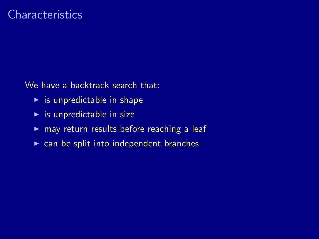#### **Characteristics**

We have a backtrack search that:

- $\blacktriangleright$  is unpredictable in shape
- $\blacktriangleright$  is unpredictable in size
- $\triangleright$  may return results before reaching a leaf
- $\triangleright$  can be split into independent branches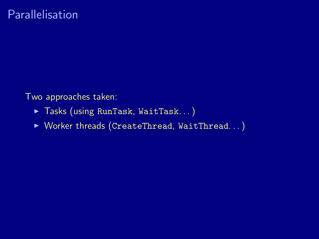Two approaches taken:

- ▶ Tasks (using RunTask, WaitTask...)
- $\triangleright$  Worker threads (CreateThread, WaitThread...)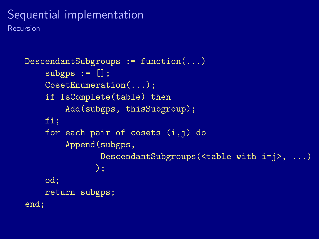# Sequential implementation

Recursion

```
DescendantSubgroups := function(...)
    subeps := [];
    CosetEnumeration(...);
    if IsComplete(table) then
        Add(subgps, thisSubgroup);
    fi;
    for each pair of cosets (i,j) do
        Append(subgps,
               DescendantSubgroups(<table with i=j>, ...)
              );
    od;
    return subgps;
end;
```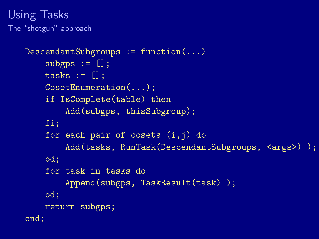#### Using Tasks The "shotgun" approach

```
DescendantSubgroups := function(...)
    subeps := [];
    tasks := [];
    CosetEnumeration(...);
    if IsComplete(table) then
        Add(subgps, thisSubgroup);
    fi;
    for each pair of cosets (i,j) do
        Add(tasks, RunTask(DescendantSubgroups, <args>) );
    od;
    for task in tasks do
        Append(subgps, TaskResult(task) );
    od;
    return subgps;
end;
```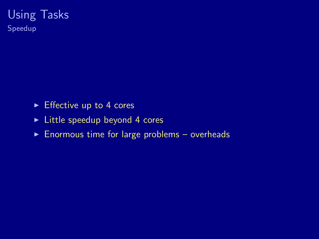#### Using Tasks Speedup

- $\blacktriangleright$  Effective up to 4 cores
- $\blacktriangleright$  Little speedup beyond 4 cores
- $\blacktriangleright$  Enormous time for large problems overheads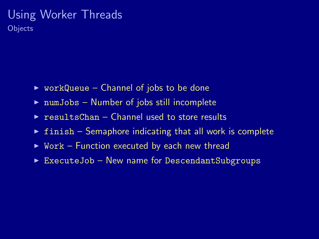#### Using Worker Threads **Objects**

- $\triangleright$  workQueue Channel of jobs to be done
- $\triangleright$  numJobs Number of jobs still incomplete
- $\triangleright$  resultsChan Channel used to store results
- $\triangleright$  finish Semaphore indicating that all work is complete
- $\triangleright$  Work Function executed by each new thread
- $\triangleright$  ExecuteJob New name for DescendantSubgroups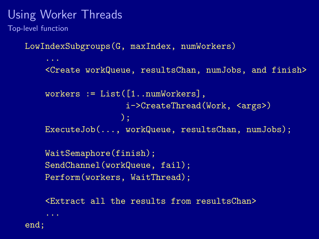Top-level function

LowIndexSubgroups(G, maxIndex, numWorkers)

```
...
<Create workQueue, resultsChan, numJobs, and finish>
workers := List([1..numWorkers],
                i->CreateThread(Work, <args>)
               );
ExecuteJob(..., workQueue, resultsChan, numJobs);
WaitSemaphore(finish);
SendChannel(workQueue, fail);
Perform(workers, WaitThread);
```
<Extract all the results from resultsChan>

end;

...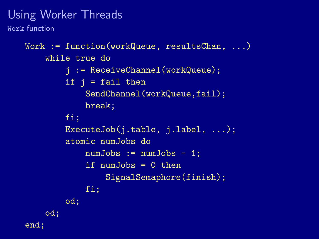Work function

```
Work := function(workQueue, resultsChan, ...)
    while true do
        j := ReceiveChannel(workQueue);
        if j = fail then
            SendChannel(workQueue,fail);
            break;
        fi;
        ExecuteJob(j.table, j.label, ...);
        atomic numJobs do
            numJobs := numJobs - 1;if numJobs = 0 then
                SignalSemaphore(finish);
            fi;
        od;
    od;
end;
```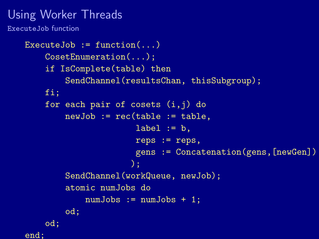ExecuteJob function

```
ExecuteJob := function(...)CosetEnumeration(...);
    if IsComplete(table) then
        SendChannel(resultsChan, thisSubgroup);
    fi;
    for each pair of cosets (i,j) do
        newJob := rec(table := table,label := b.
                      reps := reps,
                      gens := Concatenation(gens,[newGen])
                     );
        SendChannel(workQueue, newJob);
        atomic numJobs do
            numJobs := numJobs + 1;
        od;
    od;
end;
```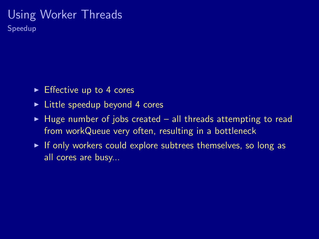Speedup

- $\triangleright$  Effective up to 4 cores
- $\triangleright$  Little speedup beyond 4 cores
- $\blacktriangleright$  Huge number of jobs created all threads attempting to read from workQueue very often, resulting in a bottleneck
- $\triangleright$  If only workers could explore subtrees themselves, so long as all cores are busy...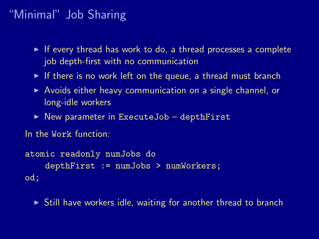# "Minimal" Job Sharing

- $\triangleright$  If every thread has work to do, a thread processes a complete job depth-first with no communication
- If there is no work left on the queue, a thread must branch
- $\triangleright$  Avoids either heavy communication on a single channel, or long-idle workers
- $\triangleright$  New parameter in ExecuteJob depthFirst

```
In the Work function:
```

```
atomic readonly numJobs do
    depthFirst := numJobs > numWorkers;
od;
```
 $\triangleright$  Still have workers idle, waiting for another thread to branch